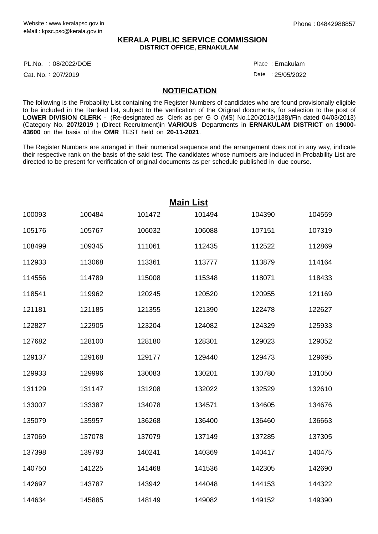### **KERALA PUBLIC SERVICE COMMISSION DISTRICT OFFICE, ERNAKULAM**

PL.No. :08/2022/DOE Place

Cat. No.: 207/2019

Ernakulam :

Date: 25/05/2022

### **NOTIFICATION**

The following is the Probability List containing the Register Numbers of candidates who are found provisionally eligible to be included in the Ranked list, subject to the verification of the Original documents, for selection to the post of **LOWER DIVISION CLERK** - (Re-designated as Clerk as per G O (MS) No.120/2013/(138)/Fin dated 04/03/2013) (Category No. **207/2019** ) (Direct Recruitment)in **VARIOUS** Departments in **ERNAKULAM DISTRICT** on **19000- 43600** on the basis of the **OMR** TEST held on **20-11-2021**.

The Register Numbers are arranged in their numerical sequence and the arrangement does not in any way, indicate their respective rank on the basis of the said test. The candidates whose numbers are included in Probability List are directed to be present for verification of original documents as per schedule published in due course.

| <b>Main List</b> |        |        |        |        |        |  |  |  |
|------------------|--------|--------|--------|--------|--------|--|--|--|
| 100093           | 100484 | 101472 | 101494 | 104390 | 104559 |  |  |  |
| 105176           | 105767 | 106032 | 106088 | 107151 | 107319 |  |  |  |
| 108499           | 109345 | 111061 | 112435 | 112522 | 112869 |  |  |  |
| 112933           | 113068 | 113361 | 113777 | 113879 | 114164 |  |  |  |
| 114556           | 114789 | 115008 | 115348 | 118071 | 118433 |  |  |  |
| 118541           | 119962 | 120245 | 120520 | 120955 | 121169 |  |  |  |
| 121181           | 121185 | 121355 | 121390 | 122478 | 122627 |  |  |  |
| 122827           | 122905 | 123204 | 124082 | 124329 | 125933 |  |  |  |
| 127682           | 128100 | 128180 | 128301 | 129023 | 129052 |  |  |  |
| 129137           | 129168 | 129177 | 129440 | 129473 | 129695 |  |  |  |
| 129933           | 129996 | 130083 | 130201 | 130780 | 131050 |  |  |  |
| 131129           | 131147 | 131208 | 132022 | 132529 | 132610 |  |  |  |
| 133007           | 133387 | 134078 | 134571 | 134605 | 134676 |  |  |  |
| 135079           | 135957 | 136268 | 136400 | 136460 | 136663 |  |  |  |
| 137069           | 137078 | 137079 | 137149 | 137285 | 137305 |  |  |  |
| 137398           | 139793 | 140241 | 140369 | 140417 | 140475 |  |  |  |
| 140750           | 141225 | 141468 | 141536 | 142305 | 142690 |  |  |  |
| 142697           | 143787 | 143942 | 144048 | 144153 | 144322 |  |  |  |
| 144634           | 145885 | 148149 | 149082 | 149152 | 149390 |  |  |  |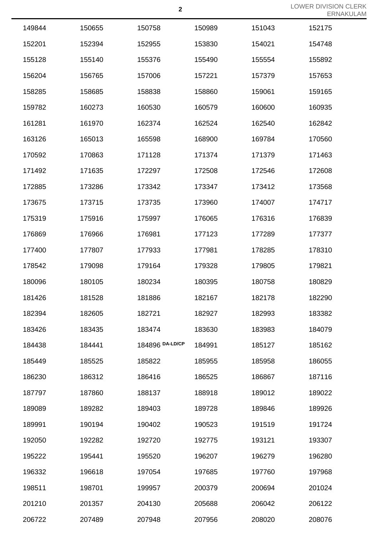|        |        |                 |        |        | $L1 \times N$ |
|--------|--------|-----------------|--------|--------|---------------|
| 149844 | 150655 | 150758          | 150989 | 151043 | 152175        |
| 152201 | 152394 | 152955          | 153830 | 154021 | 154748        |
| 155128 | 155140 | 155376          | 155490 | 155554 | 155892        |
| 156204 | 156765 | 157006          | 157221 | 157379 | 157653        |
| 158285 | 158685 | 158838          | 158860 | 159061 | 159165        |
| 159782 | 160273 | 160530          | 160579 | 160600 | 160935        |
| 161281 | 161970 | 162374          | 162524 | 162540 | 162842        |
| 163126 | 165013 | 165598          | 168900 | 169784 | 170560        |
| 170592 | 170863 | 171128          | 171374 | 171379 | 171463        |
| 171492 | 171635 | 172297          | 172508 | 172546 | 172608        |
| 172885 | 173286 | 173342          | 173347 | 173412 | 173568        |
| 173675 | 173715 | 173735          | 173960 | 174007 | 174717        |
| 175319 | 175916 | 175997          | 176065 | 176316 | 176839        |
| 176869 | 176966 | 176981          | 177123 | 177289 | 177377        |
| 177400 | 177807 | 177933          | 177981 | 178285 | 178310        |
| 178542 | 179098 | 179164          | 179328 | 179805 | 179821        |
| 180096 | 180105 | 180234          | 180395 | 180758 | 180829        |
| 181426 | 181528 | 181886          | 182167 | 182178 | 182290        |
| 182394 | 182605 | 182721          | 182927 | 182993 | 183382        |
| 183426 | 183435 | 183474          | 183630 | 183983 | 184079        |
| 184438 | 184441 | 184896 DA-LD/CP | 184991 | 185127 | 185162        |
| 185449 | 185525 | 185822          | 185955 | 185958 | 186055        |
| 186230 | 186312 | 186416          | 186525 | 186867 | 187116        |
| 187797 | 187860 | 188137          | 188918 | 189012 | 189022        |
| 189089 | 189282 | 189403          | 189728 | 189846 | 189926        |
| 189991 | 190194 | 190402          | 190523 | 191519 | 191724        |
| 192050 | 192282 | 192720          | 192775 | 193121 | 193307        |
| 195222 | 195441 | 195520          | 196207 | 196279 | 196280        |
| 196332 | 196618 | 197054          | 197685 | 197760 | 197968        |
| 198511 | 198701 | 199957          | 200379 | 200694 | 201024        |
| 201210 | 201357 | 204130          | 205688 | 206042 | 206122        |
| 206722 | 207489 | 207948          | 207956 | 208020 | 208076        |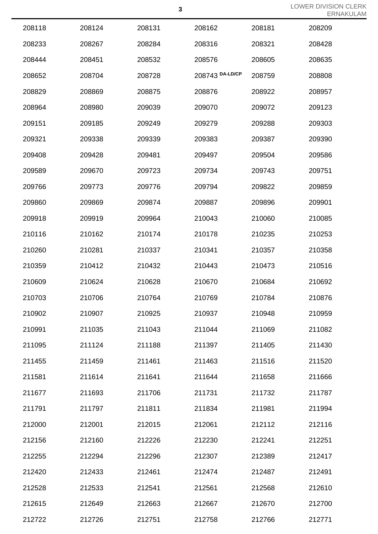|        |        |        |                 |        | LINN   |
|--------|--------|--------|-----------------|--------|--------|
| 208118 | 208124 | 208131 | 208162          | 208181 | 208209 |
| 208233 | 208267 | 208284 | 208316          | 208321 | 208428 |
| 208444 | 208451 | 208532 | 208576          | 208605 | 208635 |
| 208652 | 208704 | 208728 | 208743 DA-LD/CP | 208759 | 208808 |
| 208829 | 208869 | 208875 | 208876          | 208922 | 208957 |
| 208964 | 208980 | 209039 | 209070          | 209072 | 209123 |
| 209151 | 209185 | 209249 | 209279          | 209288 | 209303 |
| 209321 | 209338 | 209339 | 209383          | 209387 | 209390 |
| 209408 | 209428 | 209481 | 209497          | 209504 | 209586 |
| 209589 | 209670 | 209723 | 209734          | 209743 | 209751 |
| 209766 | 209773 | 209776 | 209794          | 209822 | 209859 |
| 209860 | 209869 | 209874 | 209887          | 209896 | 209901 |
| 209918 | 209919 | 209964 | 210043          | 210060 | 210085 |
| 210116 | 210162 | 210174 | 210178          | 210235 | 210253 |
| 210260 | 210281 | 210337 | 210341          | 210357 | 210358 |
| 210359 | 210412 | 210432 | 210443          | 210473 | 210516 |
| 210609 | 210624 | 210628 | 210670          | 210684 | 210692 |
| 210703 | 210706 | 210764 | 210769          | 210784 | 210876 |
| 210902 | 210907 | 210925 | 210937          | 210948 | 210959 |
| 210991 | 211035 | 211043 | 211044          | 211069 | 211082 |
| 211095 | 211124 | 211188 | 211397          | 211405 | 211430 |
| 211455 | 211459 | 211461 | 211463          | 211516 | 211520 |
| 211581 | 211614 | 211641 | 211644          | 211658 | 211666 |
| 211677 | 211693 | 211706 | 211731          | 211732 | 211787 |
| 211791 | 211797 | 211811 | 211834          | 211981 | 211994 |
| 212000 | 212001 | 212015 | 212061          | 212112 | 212116 |
| 212156 | 212160 | 212226 | 212230          | 212241 | 212251 |
| 212255 | 212294 | 212296 | 212307          | 212389 | 212417 |
| 212420 | 212433 | 212461 | 212474          | 212487 | 212491 |
| 212528 | 212533 | 212541 | 212561          | 212568 | 212610 |
| 212615 | 212649 | 212663 | 212667          | 212670 | 212700 |
| 212722 | 212726 | 212751 | 212758          | 212766 | 212771 |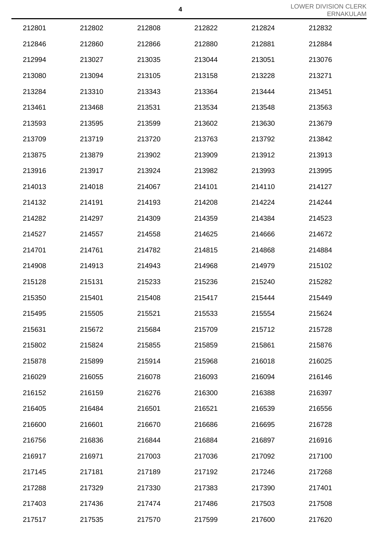|        |        |        |        |        | LNNA   |
|--------|--------|--------|--------|--------|--------|
| 212801 | 212802 | 212808 | 212822 | 212824 | 212832 |
| 212846 | 212860 | 212866 | 212880 | 212881 | 212884 |
| 212994 | 213027 | 213035 | 213044 | 213051 | 213076 |
| 213080 | 213094 | 213105 | 213158 | 213228 | 213271 |
| 213284 | 213310 | 213343 | 213364 | 213444 | 213451 |
| 213461 | 213468 | 213531 | 213534 | 213548 | 213563 |
| 213593 | 213595 | 213599 | 213602 | 213630 | 213679 |
| 213709 | 213719 | 213720 | 213763 | 213792 | 213842 |
| 213875 | 213879 | 213902 | 213909 | 213912 | 213913 |
| 213916 | 213917 | 213924 | 213982 | 213993 | 213995 |
| 214013 | 214018 | 214067 | 214101 | 214110 | 214127 |
| 214132 | 214191 | 214193 | 214208 | 214224 | 214244 |
| 214282 | 214297 | 214309 | 214359 | 214384 | 214523 |
| 214527 | 214557 | 214558 | 214625 | 214666 | 214672 |
| 214701 | 214761 | 214782 | 214815 | 214868 | 214884 |
| 214908 | 214913 | 214943 | 214968 | 214979 | 215102 |
| 215128 | 215131 | 215233 | 215236 | 215240 | 215282 |
| 215350 | 215401 | 215408 | 215417 | 215444 | 215449 |
| 215495 | 215505 | 215521 | 215533 | 215554 | 215624 |
| 215631 | 215672 | 215684 | 215709 | 215712 | 215728 |
| 215802 | 215824 | 215855 | 215859 | 215861 | 215876 |
| 215878 | 215899 | 215914 | 215968 | 216018 | 216025 |
| 216029 | 216055 | 216078 | 216093 | 216094 | 216146 |
| 216152 | 216159 | 216276 | 216300 | 216388 | 216397 |
| 216405 | 216484 | 216501 | 216521 | 216539 | 216556 |
| 216600 | 216601 | 216670 | 216686 | 216695 | 216728 |
| 216756 | 216836 | 216844 | 216884 | 216897 | 216916 |
| 216917 | 216971 | 217003 | 217036 | 217092 | 217100 |
| 217145 | 217181 | 217189 | 217192 | 217246 | 217268 |
| 217288 | 217329 | 217330 | 217383 | 217390 | 217401 |
| 217403 | 217436 | 217474 | 217486 | 217503 | 217508 |
| 217517 | 217535 | 217570 | 217599 | 217600 | 217620 |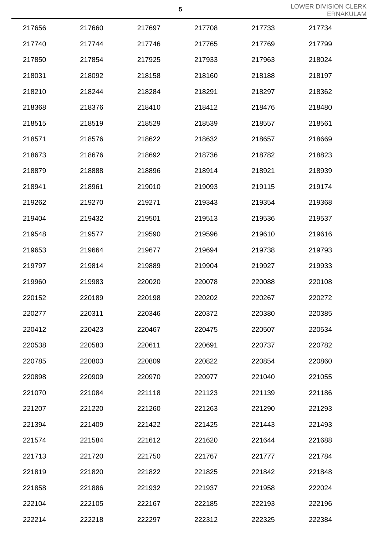|        |        |        | 5      |        | <b>LOWER DIVISION</b><br><b>ERNA</b> |
|--------|--------|--------|--------|--------|--------------------------------------|
| 217656 | 217660 | 217697 | 217708 | 217733 | 217734                               |
| 217740 | 217744 | 217746 | 217765 | 217769 | 217799                               |
| 217850 | 217854 | 217925 | 217933 | 217963 | 218024                               |
| 218031 | 218092 | 218158 | 218160 | 218188 | 218197                               |
| 218210 | 218244 | 218284 | 218291 | 218297 | 218362                               |
| 218368 | 218376 | 218410 | 218412 | 218476 | 218480                               |
| 218515 | 218519 | 218529 | 218539 | 218557 | 218561                               |
| 218571 | 218576 | 218622 | 218632 | 218657 | 218669                               |
| 218673 | 218676 | 218692 | 218736 | 218782 | 218823                               |
| 218879 | 218888 | 218896 | 218914 | 218921 | 218939                               |
| 218941 | 218961 | 219010 | 219093 | 219115 | 219174                               |
| 219262 | 219270 | 219271 | 219343 | 219354 | 219368                               |
| 219404 | 219432 | 219501 | 219513 | 219536 | 219537                               |
| 219548 | 219577 | 219590 | 219596 | 219610 | 219616                               |
| 219653 | 219664 | 219677 | 219694 | 219738 | 219793                               |
| 219797 | 219814 | 219889 | 219904 | 219927 | 219933                               |
| 219960 | 219983 | 220020 | 220078 | 220088 | 220108                               |
| 220152 | 220189 | 220198 | 220202 | 220267 | 220272                               |
| 220277 | 220311 | 220346 | 220372 | 220380 | 220385                               |
| 220412 | 220423 | 220467 | 220475 | 220507 | 220534                               |
| 220538 | 220583 | 220611 | 220691 | 220737 | 220782                               |
| 220785 | 220803 | 220809 | 220822 | 220854 | 220860                               |
| 220898 | 220909 | 220970 | 220977 | 221040 | 221055                               |
| 221070 | 221084 | 221118 | 221123 | 221139 | 221186                               |
| 221207 | 221220 | 221260 | 221263 | 221290 | 221293                               |
| 221394 | 221409 | 221422 | 221425 | 221443 | 221493                               |
| 221574 | 221584 | 221612 | 221620 | 221644 | 221688                               |
| 221713 | 221720 | 221750 | 221767 | 221777 | 221784                               |
| 221819 | 221820 | 221822 | 221825 | 221842 | 221848                               |
| 221858 | 221886 | 221932 | 221937 | 221958 | 222024                               |
| 222104 | 222105 | 222167 | 222185 | 222193 | 222196                               |
| 222214 | 222218 | 222297 | 222312 | 222325 | 222384                               |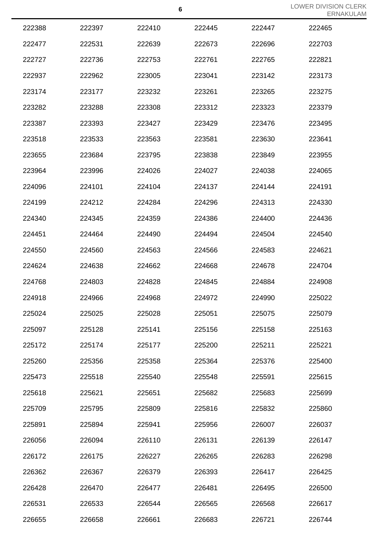|        |        |        |        |        | <b>ERIVA</b> |
|--------|--------|--------|--------|--------|--------------|
| 222388 | 222397 | 222410 | 222445 | 222447 | 222465       |
| 222477 | 222531 | 222639 | 222673 | 222696 | 222703       |
| 222727 | 222736 | 222753 | 222761 | 222765 | 222821       |
| 222937 | 222962 | 223005 | 223041 | 223142 | 223173       |
| 223174 | 223177 | 223232 | 223261 | 223265 | 223275       |
| 223282 | 223288 | 223308 | 223312 | 223323 | 223379       |
| 223387 | 223393 | 223427 | 223429 | 223476 | 223495       |
| 223518 | 223533 | 223563 | 223581 | 223630 | 223641       |
| 223655 | 223684 | 223795 | 223838 | 223849 | 223955       |
| 223964 | 223996 | 224026 | 224027 | 224038 | 224065       |
| 224096 | 224101 | 224104 | 224137 | 224144 | 224191       |
| 224199 | 224212 | 224284 | 224296 | 224313 | 224330       |
| 224340 | 224345 | 224359 | 224386 | 224400 | 224436       |
| 224451 | 224464 | 224490 | 224494 | 224504 | 224540       |
| 224550 | 224560 | 224563 | 224566 | 224583 | 224621       |
| 224624 | 224638 | 224662 | 224668 | 224678 | 224704       |
| 224768 | 224803 | 224828 | 224845 | 224884 | 224908       |
| 224918 | 224966 | 224968 | 224972 | 224990 | 225022       |
| 225024 | 225025 | 225028 | 225051 | 225075 | 225079       |
| 225097 | 225128 | 225141 | 225156 | 225158 | 225163       |
| 225172 | 225174 | 225177 | 225200 | 225211 | 225221       |
| 225260 | 225356 | 225358 | 225364 | 225376 | 225400       |
| 225473 | 225518 | 225540 | 225548 | 225591 | 225615       |
| 225618 | 225621 | 225651 | 225682 | 225683 | 225699       |
| 225709 | 225795 | 225809 | 225816 | 225832 | 225860       |
| 225891 | 225894 | 225941 | 225956 | 226007 | 226037       |
| 226056 | 226094 | 226110 | 226131 | 226139 | 226147       |
| 226172 | 226175 | 226227 | 226265 | 226283 | 226298       |
| 226362 | 226367 | 226379 | 226393 | 226417 | 226425       |
| 226428 | 226470 | 226477 | 226481 | 226495 | 226500       |
| 226531 | 226533 | 226544 | 226565 | 226568 | 226617       |
| 226655 | 226658 | 226661 | 226683 | 226721 | 226744       |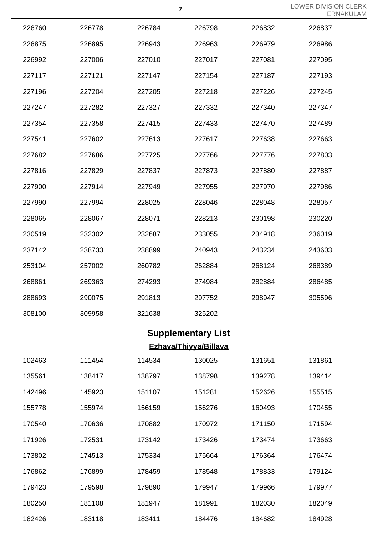| 226760 | 226778 | 226784 | 226798 | 226832 | 226837 |
|--------|--------|--------|--------|--------|--------|
| 226875 | 226895 | 226943 | 226963 | 226979 | 226986 |
| 226992 | 227006 | 227010 | 227017 | 227081 | 227095 |
| 227117 | 227121 | 227147 | 227154 | 227187 | 227193 |
| 227196 | 227204 | 227205 | 227218 | 227226 | 227245 |
| 227247 | 227282 | 227327 | 227332 | 227340 | 227347 |
| 227354 | 227358 | 227415 | 227433 | 227470 | 227489 |
| 227541 | 227602 | 227613 | 227617 | 227638 | 227663 |
| 227682 | 227686 | 227725 | 227766 | 227776 | 227803 |
| 227816 | 227829 | 227837 | 227873 | 227880 | 227887 |
| 227900 | 227914 | 227949 | 227955 | 227970 | 227986 |
| 227990 | 227994 | 228025 | 228046 | 228048 | 228057 |
| 228065 | 228067 | 228071 | 228213 | 230198 | 230220 |
| 230519 | 232302 | 232687 | 233055 | 234918 | 236019 |
| 237142 | 238733 | 238899 | 240943 | 243234 | 243603 |
| 253104 | 257002 | 260782 | 262884 | 268124 | 268389 |
| 268861 | 269363 | 274293 | 274984 | 282884 | 286485 |
| 288693 | 290075 | 291813 | 297752 | 298947 | 305596 |
| 308100 | 309958 | 321638 | 325202 |        |        |

# **Supplementary List**

### **Ezhava/Thiyya/Billava**

| 102463 | 111454 | 114534 | 130025 | 131651 | 131861 |
|--------|--------|--------|--------|--------|--------|
| 135561 | 138417 | 138797 | 138798 | 139278 | 139414 |
| 142496 | 145923 | 151107 | 151281 | 152626 | 155515 |
| 155778 | 155974 | 156159 | 156276 | 160493 | 170455 |
| 170540 | 170636 | 170882 | 170972 | 171150 | 171594 |
| 171926 | 172531 | 173142 | 173426 | 173474 | 173663 |
| 173802 | 174513 | 175334 | 175664 | 176364 | 176474 |
| 176862 | 176899 | 178459 | 178548 | 178833 | 179124 |
| 179423 | 179598 | 179890 | 179947 | 179966 | 179977 |
| 180250 | 181108 | 181947 | 181991 | 182030 | 182049 |
| 182426 | 183118 | 183411 | 184476 | 184682 | 184928 |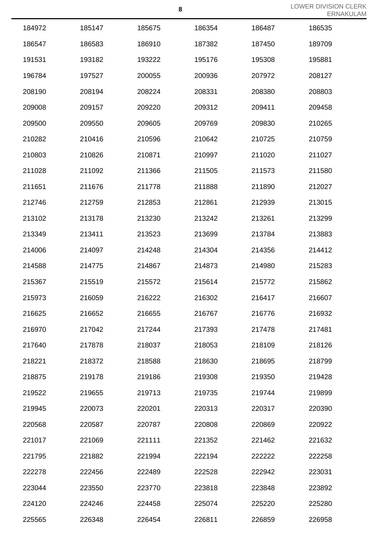|        |        |        |        |        | $-1111$ |
|--------|--------|--------|--------|--------|---------|
| 184972 | 185147 | 185675 | 186354 | 186487 | 186535  |
| 186547 | 186583 | 186910 | 187382 | 187450 | 189709  |
| 191531 | 193182 | 193222 | 195176 | 195308 | 195881  |
| 196784 | 197527 | 200055 | 200936 | 207972 | 208127  |
| 208190 | 208194 | 208224 | 208331 | 208380 | 208803  |
| 209008 | 209157 | 209220 | 209312 | 209411 | 209458  |
| 209500 | 209550 | 209605 | 209769 | 209830 | 210265  |
| 210282 | 210416 | 210596 | 210642 | 210725 | 210759  |
| 210803 | 210826 | 210871 | 210997 | 211020 | 211027  |
| 211028 | 211092 | 211366 | 211505 | 211573 | 211580  |
| 211651 | 211676 | 211778 | 211888 | 211890 | 212027  |
| 212746 | 212759 | 212853 | 212861 | 212939 | 213015  |
| 213102 | 213178 | 213230 | 213242 | 213261 | 213299  |
| 213349 | 213411 | 213523 | 213699 | 213784 | 213883  |
| 214006 | 214097 | 214248 | 214304 | 214356 | 214412  |
| 214588 | 214775 | 214867 | 214873 | 214980 | 215283  |
| 215367 | 215519 | 215572 | 215614 | 215772 | 215862  |
| 215973 | 216059 | 216222 | 216302 | 216417 | 216607  |
| 216625 | 216652 | 216655 | 216767 | 216776 | 216932  |
| 216970 | 217042 | 217244 | 217393 | 217478 | 217481  |
| 217640 | 217878 | 218037 | 218053 | 218109 | 218126  |
| 218221 | 218372 | 218588 | 218630 | 218695 | 218799  |
| 218875 | 219178 | 219186 | 219308 | 219350 | 219428  |
| 219522 | 219655 | 219713 | 219735 | 219744 | 219899  |
| 219945 | 220073 | 220201 | 220313 | 220317 | 220390  |
| 220568 | 220587 | 220787 | 220808 | 220869 | 220922  |
| 221017 | 221069 | 221111 | 221352 | 221462 | 221632  |
| 221795 | 221882 | 221994 | 222194 | 222222 | 222258  |
| 222278 | 222456 | 222489 | 222528 | 222942 | 223031  |
| 223044 | 223550 | 223770 | 223818 | 223848 | 223892  |
| 224120 | 224246 | 224458 | 225074 | 225220 | 225280  |
| 225565 | 226348 | 226454 | 226811 | 226859 | 226958  |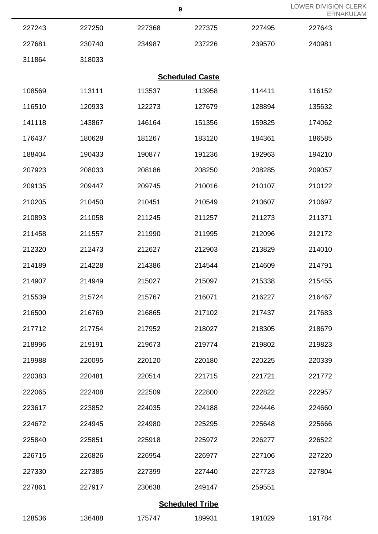| 227243 | 227250 | 227368 | 227375                 | 227495 | 227643 |  |
|--------|--------|--------|------------------------|--------|--------|--|
| 227681 | 230740 | 234987 | 237226                 | 239570 | 240981 |  |
| 311864 | 318033 |        |                        |        |        |  |
|        |        |        | <b>Scheduled Caste</b> |        |        |  |
| 108569 | 113111 | 113537 | 113958                 | 114411 | 116152 |  |
| 116510 | 120933 | 122273 | 127679                 | 128894 | 135632 |  |
| 141118 | 143867 | 146164 | 151356                 | 159825 | 174062 |  |
| 176437 | 180628 | 181267 | 183120                 | 184361 | 186585 |  |
| 188404 | 190433 | 190877 | 191236                 | 192963 | 194210 |  |
| 207923 | 208033 | 208186 | 208250                 | 208285 | 209057 |  |
| 209135 | 209447 | 209745 | 210016                 | 210107 | 210122 |  |
| 210205 | 210450 | 210451 | 210549                 | 210607 | 210697 |  |
| 210893 | 211058 | 211245 | 211257                 | 211273 | 211371 |  |
| 211458 | 211557 | 211990 | 211995                 | 212096 | 212172 |  |
| 212320 | 212473 | 212627 | 212903                 | 213829 | 214010 |  |
| 214189 | 214228 | 214386 | 214544                 | 214609 | 214791 |  |
| 214907 | 214949 | 215027 | 215097                 | 215338 | 215455 |  |
| 215539 | 215724 | 215767 | 216071                 | 216227 | 216467 |  |
| 216500 | 216769 | 216865 | 217102                 | 217437 | 217683 |  |
| 217712 | 217754 | 217952 | 218027                 | 218305 | 218679 |  |
| 218996 | 219191 | 219673 | 219774                 | 219802 | 219823 |  |
| 219988 | 220095 | 220120 | 220180                 | 220225 | 220339 |  |
| 220383 | 220481 | 220514 | 221715                 | 221721 | 221772 |  |
| 222065 | 222408 | 222509 | 222800                 | 222822 | 222957 |  |
| 223617 | 223852 | 224035 | 224188                 | 224446 | 224660 |  |
| 224672 | 224945 | 224980 | 225295                 | 225648 | 225666 |  |
| 225840 | 225851 | 225918 | 225972                 | 226277 | 226522 |  |
| 226715 | 226826 | 226954 | 226977                 | 227106 | 227220 |  |
| 227330 | 227385 | 227399 | 227440                 | 227723 | 227804 |  |
| 227861 | 227917 | 230638 | 249147                 | 259551 |        |  |
|        |        |        | <b>Scheduled Tribe</b> |        |        |  |
| 128536 | 136488 | 175747 | 189931                 | 191029 | 191784 |  |

LOWER DIVISION CLERK

ERNAKULAM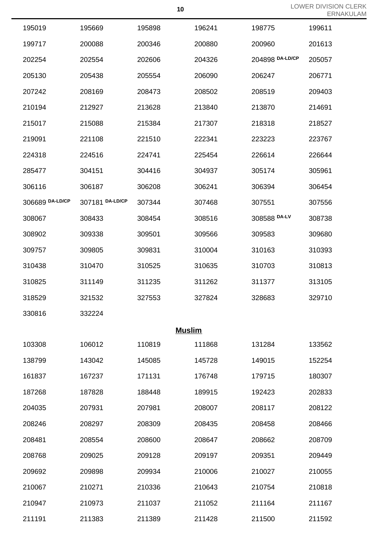|                 |                 |               |        |                 | EKI    |
|-----------------|-----------------|---------------|--------|-----------------|--------|
| 195019          | 195669          | 195898        | 196241 | 198775          | 199611 |
| 199717          | 200088          | 200346        | 200880 | 200960          | 201613 |
| 202254          | 202554          | 202606        | 204326 | 204898 DA-LD/CP | 205057 |
| 205130          | 205438          | 205554        | 206090 | 206247          | 206771 |
| 207242          | 208169          | 208473        | 208502 | 208519          | 209403 |
| 210194          | 212927          | 213628        | 213840 | 213870          | 214691 |
| 215017          | 215088          | 215384        | 217307 | 218318          | 218527 |
| 219091          | 221108          | 221510        | 222341 | 223223          | 223767 |
| 224318          | 224516          | 224741        | 225454 | 226614          | 226644 |
| 285477          | 304151          | 304416        | 304937 | 305174          | 305961 |
| 306116          | 306187          | 306208        | 306241 | 306394          | 306454 |
| 306689 DA-LD/CP | 307181 DA-LD/CP | 307344        | 307468 | 307551          | 307556 |
| 308067          | 308433          | 308454        | 308516 | 308588 DA-LV    | 308738 |
| 308902          | 309338          | 309501        | 309566 | 309583          | 309680 |
| 309757          | 309805          | 309831        | 310004 | 310163          | 310393 |
| 310438          | 310470          | 310525        | 310635 | 310703          | 310813 |
| 310825          | 311149          | 311235        | 311262 | 311377          | 313105 |
| 318529          | 321532          | 327553        | 327824 | 328683          | 329710 |
| 330816          | 332224          |               |        |                 |        |
|                 |                 | <b>Muslim</b> |        |                 |        |
| 103308          | 106012          | 110819        | 111868 | 131284          | 133562 |
| 138799          | 143042          | 145085        | 145728 | 149015          | 152254 |
| 161837          | 167237          | 171131        | 176748 | 179715          | 180307 |
| 187268          | 187828          | 188448        | 189915 | 192423          | 202833 |
| 204035          | 207931          | 207981        | 208007 | 208117          | 208122 |
| 208246          | 208297          | 208309        | 208435 | 208458          | 208466 |
| 208481          | 208554          | 208600        | 208647 | 208662          | 208709 |
| 208768          | 209025          | 209128        | 209197 | 209351          | 209449 |
| 209692          | 209898          | 209934        | 210006 | 210027          | 210055 |
| 210067          | 210271          | 210336        | 210643 | 210754          | 210818 |
| 210947          | 210973          | 211037        | 211052 | 211164          | 211167 |
| 211191          | 211383          | 211389        | 211428 | 211500          | 211592 |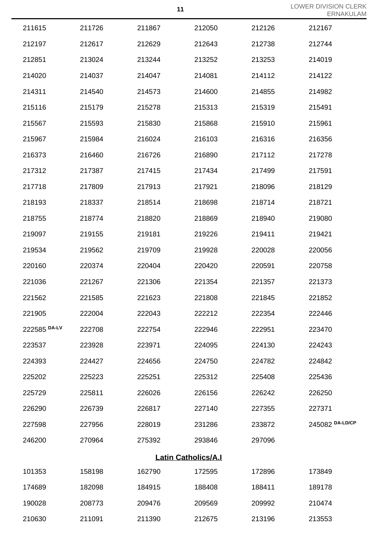LOWER DIVISION CLERK AM

|              |        |        |                            |        | <b>ERNAKULA</b> |
|--------------|--------|--------|----------------------------|--------|-----------------|
| 211615       | 211726 | 211867 | 212050                     | 212126 | 212167          |
| 212197       | 212617 | 212629 | 212643                     | 212738 | 212744          |
| 212851       | 213024 | 213244 | 213252                     | 213253 | 214019          |
| 214020       | 214037 | 214047 | 214081                     | 214112 | 214122          |
| 214311       | 214540 | 214573 | 214600                     | 214855 | 214982          |
| 215116       | 215179 | 215278 | 215313                     | 215319 | 215491          |
| 215567       | 215593 | 215830 | 215868                     | 215910 | 215961          |
| 215967       | 215984 | 216024 | 216103                     | 216316 | 216356          |
| 216373       | 216460 | 216726 | 216890                     | 217112 | 217278          |
| 217312       | 217387 | 217415 | 217434                     | 217499 | 217591          |
| 217718       | 217809 | 217913 | 217921                     | 218096 | 218129          |
| 218193       | 218337 | 218514 | 218698                     | 218714 | 218721          |
| 218755       | 218774 | 218820 | 218869                     | 218940 | 219080          |
| 219097       | 219155 | 219181 | 219226                     | 219411 | 219421          |
| 219534       | 219562 | 219709 | 219928                     | 220028 | 220056          |
| 220160       | 220374 | 220404 | 220420                     | 220591 | 220758          |
| 221036       | 221267 | 221306 | 221354                     | 221357 | 221373          |
| 221562       | 221585 | 221623 | 221808                     | 221845 | 221852          |
| 221905       | 222004 | 222043 | 222212                     | 222354 | 222446          |
| 222585 DA-LV | 222708 | 222754 | 222946                     | 222951 | 223470          |
| 223537       | 223928 | 223971 | 224095                     | 224130 | 224243          |
| 224393       | 224427 | 224656 | 224750                     | 224782 | 224842          |
| 225202       | 225223 | 225251 | 225312                     | 225408 | 225436          |
| 225729       | 225811 | 226026 | 226156                     | 226242 | 226250          |
| 226290       | 226739 | 226817 | 227140                     | 227355 | 227371          |
| 227598       | 227956 | 228019 | 231286                     | 233872 | 245082 DA-LD/CP |
| 246200       | 270964 | 275392 | 293846                     | 297096 |                 |
|              |        |        | <b>Latin Catholics/A.I</b> |        |                 |
| 101353       | 158198 | 162790 | 172595                     | 172896 | 173849          |
| 174689       | 182098 | 184915 | 188408                     | 188411 | 189178          |
| 190028       | 208773 | 209476 | 209569                     | 209992 | 210474          |
| 210630       | 211091 | 211390 | 212675                     | 213196 | 213553          |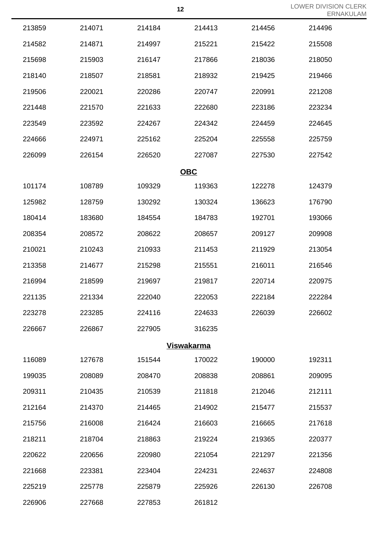|                   |        |        |            |        | ERN/   |  |
|-------------------|--------|--------|------------|--------|--------|--|
| 213859            | 214071 | 214184 | 214413     | 214456 | 214496 |  |
| 214582            | 214871 | 214997 | 215221     | 215422 | 215508 |  |
| 215698            | 215903 | 216147 | 217866     | 218036 | 218050 |  |
| 218140            | 218507 | 218581 | 218932     | 219425 | 219466 |  |
| 219506            | 220021 | 220286 | 220747     | 220991 | 221208 |  |
| 221448            | 221570 | 221633 | 222680     | 223186 | 223234 |  |
| 223549            | 223592 | 224267 | 224342     | 224459 | 224645 |  |
| 224666            | 224971 | 225162 | 225204     | 225558 | 225759 |  |
| 226099            | 226154 | 226520 | 227087     | 227530 | 227542 |  |
|                   |        |        | <b>OBC</b> |        |        |  |
| 101174            | 108789 | 109329 | 119363     | 122278 | 124379 |  |
| 125982            | 128759 | 130292 | 130324     | 136623 | 176790 |  |
| 180414            | 183680 | 184554 | 184783     | 192701 | 193066 |  |
| 208354            | 208572 | 208622 | 208657     | 209127 | 209908 |  |
| 210021            | 210243 | 210933 | 211453     | 211929 | 213054 |  |
| 213358            | 214677 | 215298 | 215551     | 216011 | 216546 |  |
| 216994            | 218599 | 219697 | 219817     | 220714 | 220975 |  |
| 221135            | 221334 | 222040 | 222053     | 222184 | 222284 |  |
| 223278            | 223285 | 224116 | 224633     | 226039 | 226602 |  |
| 226667            | 226867 | 227905 | 316235     |        |        |  |
| <b>Viswakarma</b> |        |        |            |        |        |  |
| 116089            | 127678 | 151544 | 170022     | 190000 | 192311 |  |
| 199035            | 208089 | 208470 | 208838     | 208861 | 209095 |  |
| 209311            | 210435 | 210539 | 211818     | 212046 | 212111 |  |
| 212164            | 214370 | 214465 | 214902     | 215477 | 215537 |  |
| 215756            | 216008 | 216424 | 216603     | 216665 | 217618 |  |
| 218211            | 218704 | 218863 | 219224     | 219365 | 220377 |  |
| 220622            | 220656 | 220980 | 221054     | 221297 | 221356 |  |
| 221668            | 223381 | 223404 | 224231     | 224637 | 224808 |  |
| 225219            | 225778 | 225879 | 225926     | 226130 | 226708 |  |
| 226906            | 227668 | 227853 | 261812     |        |        |  |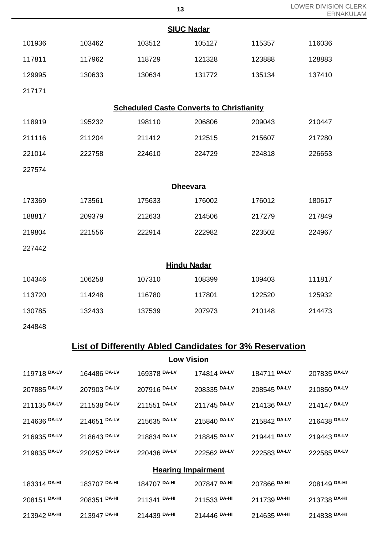| 13                                              |        |        |        |        | LOWER DIVISION CLERK<br><b>ERNAKULAM</b> |  |  |
|-------------------------------------------------|--------|--------|--------|--------|------------------------------------------|--|--|
| <b>SIUC Nadar</b>                               |        |        |        |        |                                          |  |  |
| 101936                                          | 103462 | 103512 | 105127 | 115357 | 116036                                   |  |  |
| 117811                                          | 117962 | 118729 | 121328 | 123888 | 128883                                   |  |  |
| 129995                                          | 130633 | 130634 | 131772 | 135134 | 137410                                   |  |  |
| 217171                                          |        |        |        |        |                                          |  |  |
| <b>Scheduled Caste Converts to Christianity</b> |        |        |        |        |                                          |  |  |
| 118919                                          | 195232 | 198110 | 206806 | 209043 | 210447                                   |  |  |
| 211116                                          | 211204 | 211412 | 212515 | 215607 | 217280                                   |  |  |
| 221014                                          | 222758 | 224610 | 224729 | 224818 | 226653                                   |  |  |
| 227574                                          |        |        |        |        |                                          |  |  |
| <b>Dheevara</b>                                 |        |        |        |        |                                          |  |  |
| 173369                                          | 173561 | 175633 | 176002 | 176012 | 180617                                   |  |  |
| 188817                                          | 209379 | 212633 | 214506 | 217279 | 217849                                   |  |  |
| 219804                                          | 221556 | 222914 | 222982 | 223502 | 224967                                   |  |  |
| 227442                                          |        |        |        |        |                                          |  |  |
| <b>Hindu Nadar</b>                              |        |        |        |        |                                          |  |  |
| 104346                                          | 106258 | 107310 | 108399 | 109403 | 111817                                   |  |  |
| 113720                                          | 114248 | 116780 | 117801 | 122520 | 125932                                   |  |  |
| 130785                                          | 132433 | 137539 | 207973 | 210148 | 214473                                   |  |  |
| 244848                                          |        |        |        |        |                                          |  |  |

## **List of Differently Abled Candidates for 3% Reservation**

**Low Vision**

| 119718 DA-LV              | 164486 DA-LV | 169378 DA-LV | 174814 DA-LV | 184711 DA-LV | 207835 DA-LV |  |
|---------------------------|--------------|--------------|--------------|--------------|--------------|--|
| 207885 DA-LV              | 207903 DA-LV | 207916 DA-LV | 208335 DA-LV | 208545 DA-LV | 210850 DA-LV |  |
| 211135 DA-LV              | 211538 DA-LV | 211551 DA-LV | 211745 DA-LV | 214136 DA-LV | 214147 DA-LV |  |
| 214636 DA-LV              | 214651 DA-LV | 215635 DA-LV | 215840 DA-LV | 215842 DA-LV | 216438 DA-LV |  |
| 216935 DA-LV              | 218643 DA-LV | 218834 DA-LV | 218845 DA-LV | 219441 DA-LV | 219443 DA-LV |  |
| 219835 DA-LV              | 220252 DA-LV | 220436 DA-LV | 222562 DA-LV | 222583 DA-LV | 222585 DA-LV |  |
| <b>Hearing Impairment</b> |              |              |              |              |              |  |
| 183314 DA-HI              | 183707 DA-HI | 184707 DA-HI | 207847 DA-HI | 207866 DA-HI | 208149 DA-HI |  |
| 208151 DA-HI              | 208351 DA-HI | 211341 DA-HI | 211533 DA-HI | 211739 DA-HI | 213738 DA-HI |  |
| 213942 DA-HI              | 213947 DA-HI | 214439 DA-HI | 214446 DA-HI | 214635 DA-HI | 214838 DA-HI |  |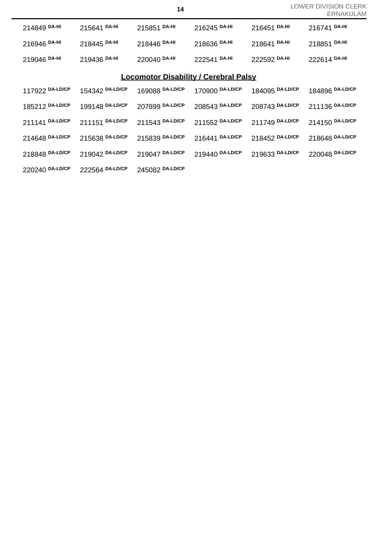| 214849 DA-HI                                 | 215641 DA-HI    | 215851 DA-HI    | 216245 DA-HI    | 216451 DA-HI    | 216741 DA-HI    |  |
|----------------------------------------------|-----------------|-----------------|-----------------|-----------------|-----------------|--|
| 216946 DA-HI                                 | 218445 DA-HI    | 218446 DA-HI    | 218636 DA-HI    | 218641 DA-HI    | 218851 DA-HI    |  |
| 219046 DA-HI                                 | 219436 DA-HI    | 220040 DA-HI    | 222541 DA-HI    | 222592 DA-HI    | 222614 DA-HI    |  |
| <b>Locomotor Disability / Cerebral Palsy</b> |                 |                 |                 |                 |                 |  |
| 117922 DA-LD/CP                              | 154342 DA-LD/CP | 169088 DA-LD/CP | 170900 DA-LD/CP | 184095 DA-LD/CP | 184896 DA-LD/CP |  |
| 185212 DA-LD/CP                              | 199148 DA-LD/CP | 207899 DA-LD/CP | 208543 DA-LD/CP | 208743 DA-LD/CP | 211136 DA-LD/CP |  |
| 211141 DA-LD/CP                              | 211151 DA-LD/CP | 211543 DA-LD/CP | 211552 DA-LD/CP | 211749 DA-LD/CP | 214150 DA-LD/CP |  |
| 214648 DA-LD/CP                              | 215638 DA-LD/CP | 215839 DA-LD/CP | 216441 DA-LD/CP | 218452 DA-LD/CP | 218648 DA-LD/CP |  |
| 218848 DA-LD/CP                              | 219042 DA-LD/CP | 219047 DA-LD/CP | 219440 DA-LD/CP | 219633 DA-LD/CP | 220048 DA-LD/CP |  |
| 220240 DA-LD/CP                              | 222564 DA-LD/CP | 245082 DA-LD/CP |                 |                 |                 |  |